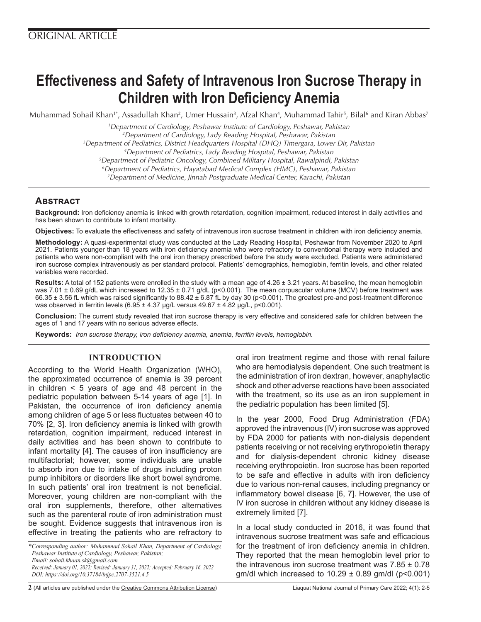# **Effectiveness and Safety of Intravenous Iron Sucrose Therapy in Children with Iron Deficiency Anemia**

Muhammad Sohail Khan<sup>1</sup>\*, Assadullah Khan<sup>2</sup>, Umer Hussain<sup>3</sup>, Afzal Khan<sup>4</sup>, Muhammad Tahir<sup>5</sup>, Bilal<sup>6</sup> and Kiran Abbas<sup>7</sup>

*1 Department of Cardiology, Peshawar Institute of Cardiology, Peshawar, Pakistan*

*2 Department of Cardiology, Lady Reading Hospital, Peshawar, Pakistan*

*3 Department of Pediatrics, District Headquarters Hospital (DHQ) Timergara, Lower Dir, Pakistan*

*4 Department of Pediatrics, Lady Reading Hospital, Peshawar, Pakistan 5 Department of Pediatric Oncology, Combined Military Hospital, Rawalpindi, Pakistan*

*6 Department of Pediatrics, Hayatabad Medical Complex (HMC), Peshawar, Pakistan 7 Department of Medicine, Jinnah Postgraduate Medical Center, Karachi, Pakistan*

# **Abstract**

**Background:** Iron deficiency anemia is linked with growth retardation, cognition impairment, reduced interest in daily activities and has been shown to contribute to infant mortality.

**Objectives:** To evaluate the effectiveness and safety of intravenous iron sucrose treatment in children with iron deficiency anemia.

**Methodology:** A quasi-experimental study was conducted at the Lady Reading Hospital, Peshawar from November 2020 to April 2021. Patients younger than 18 years with iron deficiency anemia who were refractory to conventional therapy were included and patients who were non-compliant with the oral iron therapy prescribed before the study were excluded. Patients were administered iron sucrose complex intravenously as per standard protocol. Patients' demographics, hemoglobin, ferritin levels, and other related variables were recorded.

**Results:** A total of 152 patients were enrolled in the study with a mean age of 4.26 ± 3.21 years. At baseline, the mean hemoglobin was 7.01  $\pm$  0.69 g/dL which increased to 12.35  $\pm$  0.71 g/dL (p<0.001). The mean corpuscular volume (MCV) before treatment was 66.35 ± 3.56 fL which was raised significantly to 88.42 ± 6.87 fL by day 30 (p<0.001). The greatest pre-and post-treatment difference was observed in ferritin levels  $(6.95 \pm 4.37 \text{ µg/L} \text{ versus } 49.67 \pm 4.82 \text{ µg/L}, \text{p} < 0.001).$ 

**Conclusion:** The current study revealed that iron sucrose therapy is very effective and considered safe for children between the ages of 1 and 17 years with no serious adverse effects.

**Keywords:** *Iron sucrose therapy, iron deficiency anemia, anemia, ferritin levels, hemoglobin.* 

## **INTRODUCTION**

According to the World Health Organization (WHO), the approximated occurrence of anemia is 39 percent in children < 5 years of age and 48 percent in the pediatric population between 5-14 years of age [1]. In Pakistan, the occurrence of iron deficiency anemia among children of age 5 or less fluctuates between 40 to 70% [2, 3]. Iron deficiency anemia is linked with growth retardation, cognition impairment, reduced interest in daily activities and has been shown to contribute to infant mortality [4]. The causes of iron insufficiency are multifactorial; however, some individuals are unable to absorb iron due to intake of drugs including proton pump inhibitors or disorders like short bowel syndrome. In such patients' oral iron treatment is not beneficial. Moreover, young children are non-compliant with the oral iron supplements, therefore, other alternatives such as the parenteral route of iron administration must be sought. Evidence suggests that intravenous iron is effective in treating the patients who are refractory to

*\*Corresponding author: Muhammad Sohail Khan, Department of Cardiology, Peshawar Institute of Cardiology, Peshawar, Pakistan; Email: sohail.khaan.sk@gmail.com Received: January 01, 2022; Revised: January 31, 2022; Accepted: February 16, 2022 DOI: https://doi.org/10.37184/lnjpc.2707-3521.4.5*

oral iron treatment regime and those with renal failure who are hemodialysis dependent. One such treatment is the administration of iron dextran, however, anaphylactic shock and other adverse reactions have been associated with the treatment, so its use as an iron supplement in the pediatric population has been limited [5].

In the year 2000, Food Drug Administration (FDA) approved the intravenous (IV) iron sucrose was approved by FDA 2000 for patients with non-dialysis dependent patients receiving or not receiving erythropoietin therapy and for dialysis-dependent chronic kidney disease receiving erythropoietin. Iron sucrose has been reported to be safe and effective in adults with iron deficiency due to various non-renal causes, including pregnancy or inflammatory bowel disease [6, 7]. However, the use of IV iron sucrose in children without any kidney disease is extremely limited [7].

In a local study conducted in 2016, it was found that intravenous sucrose treatment was safe and efficacious for the treatment of iron deficiency anemia in children. They reported that the mean hemoglobin level prior to the intravenous iron sucrose treatment was  $7.85 \pm 0.78$ gm/dl which increased to  $10.29 \pm 0.89$  gm/dl (p<0.001)

**2** (All articles are published under the [Creative Commons Attribution License\)](https://creativecommons.org/licenses/by/4.0/) Liaquat National Journal of Primary Care 2022; 4(1): 2-5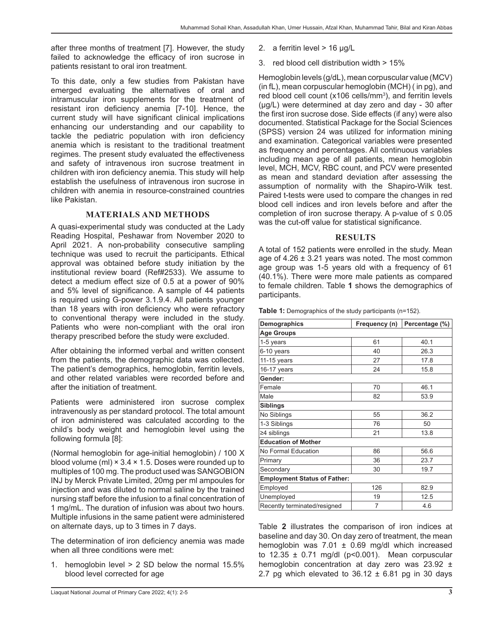after three months of treatment [7]. However, the study failed to acknowledge the efficacy of iron sucrose in patients resistant to oral iron treatment.

To this date, only a few studies from Pakistan have emerged evaluating the alternatives of oral and intramuscular iron supplements for the treatment of resistant iron deficiency anemia [7-10]. Hence, the current study will have significant clinical implications enhancing our understanding and our capability to tackle the pediatric population with iron deficiency anemia which is resistant to the traditional treatment regimes. The present study evaluated the effectiveness and safety of intravenous iron sucrose treatment in children with iron deficiency anemia. This study will help establish the usefulness of intravenous iron sucrose in children with anemia in resource-constrained countries like Pakistan.

## **MATERIALS AND METHODS**

A quasi-experimental study was conducted at the Lady Reading Hospital, Peshawar from November 2020 to April 2021. A non-probability consecutive sampling technique was used to recruit the participants. Ethical approval was obtained before study initiation by the institutional review board (Ref#2533). We assume to detect a medium effect size of 0.5 at a power of 90% and 5% level of significance. A sample of 44 patients is required using G-power 3.1.9.4. All patients younger than 18 years with iron deficiency who were refractory to conventional therapy were included in the study. Patients who were non-compliant with the oral iron therapy prescribed before the study were excluded.

After obtaining the informed verbal and written consent from the patients, the demographic data was collected. The patient's demographics, hemoglobin, ferritin levels, and other related variables were recorded before and after the initiation of treatment.

Patients were administered iron sucrose complex intravenously as per standard protocol. The total amount of iron administered was calculated according to the child's body weight and hemoglobin level using the following formula [8]:

(Normal hemoglobin for age-initial hemoglobin) / 100 X blood volume (ml)  $\times$  3.4  $\times$  1.5. Doses were rounded up to multiples of 100 mg. The product used was SANGOBION INJ by Merck Private Limited, 20mg per ml ampoules for injection and was diluted to normal saline by the trained nursing staff before the infusion to a final concentration of 1 mg/mL. The duration of infusion was about two hours. Multiple infusions in the same patient were administered on alternate days, up to 3 times in 7 days.

The determination of iron deficiency anemia was made when all three conditions were met:

- 1. hemoglobin level > 2 SD below the normal 15.5% blood level corrected for age
	-
- Liaquat National Journal of Primary Care 2022; 4(1): 2-5 **3**
- 2. a ferritin level  $> 16 \mu g/L$
- 3. red blood cell distribution width > 15%

Hemoglobin levels (g/dL), mean corpuscular value (MCV) (in fL), mean corpuscular hemoglobin (MCH) ( in pg), and red blood cell count (x106 cells/mm<sup>3</sup>), and ferritin levels (μg/L) were determined at day zero and day - 30 after the first iron sucrose dose. Side effects (if any) were also documented. Statistical Package for the Social Sciences (SPSS) version 24 was utilized for information mining and examination. Categorical variables were presented as frequency and percentages. All continuous variables including mean age of all patients, mean hemoglobin level, MCH, MCV, RBC count, and PCV were presented as mean and standard deviation after assessing the assumption of normality with the Shapiro-Wilk test. Paired t-tests were used to compare the changes in red blood cell indices and iron levels before and after the completion of iron sucrose therapy. A p-value of  $\leq 0.05$ was the cut-off value for statistical significance.

#### **RESULTS**

A total of 152 patients were enrolled in the study. Mean age of  $4.26 \pm 3.21$  years was noted. The most common age group was 1-5 years old with a frequency of 61 (40.1%). There were more male patients as compared to female children. Table **1** shows the demographics of participants.

**Table 1:** Demographics of the study participants (n=152).

| Demographics                        | Frequency (n) | Percentage (%) |  |  |
|-------------------------------------|---------------|----------------|--|--|
| <b>Age Groups</b>                   |               |                |  |  |
| 1-5 years                           | 61            | 40.1           |  |  |
| 6-10 years                          | 40            | 26.3           |  |  |
| 11-15 years                         | 27            | 17.8           |  |  |
| 16-17 years                         | 24            | 15.8           |  |  |
| Gender:                             |               |                |  |  |
| Female                              | 70            | 46.1           |  |  |
| Male                                | 82            | 53.9           |  |  |
| <b>Siblings</b>                     |               |                |  |  |
| No Siblings                         | 55            | 36.2           |  |  |
| 1-3 Siblings                        | 76            | 50             |  |  |
| ≥4 siblings                         | 21            | 13.8           |  |  |
| <b>Education of Mother</b>          |               |                |  |  |
| No Formal Education                 | 86            | 56.6           |  |  |
| Primary                             | 36            | 23.7           |  |  |
| Secondary                           | 30            | 19.7           |  |  |
| <b>Employment Status of Father:</b> |               |                |  |  |
| Employed                            | 126           | 82.9           |  |  |
| Unemployed                          | 19            | 12.5           |  |  |
| Recently terminated/resigned        | 7             | 4.6            |  |  |

Table **2** illustrates the comparison of iron indices at baseline and day 30. On day zero of treatment, the mean hemoglobin was 7.01 ± 0.69 mg/dl which increased to 12.35  $\pm$  0.71 mg/dl (p<0.001). Mean corpuscular hemoglobin concentration at day zero was 23.92 ± 2.7 pg which elevated to  $36.12 \pm 6.81$  pg in 30 days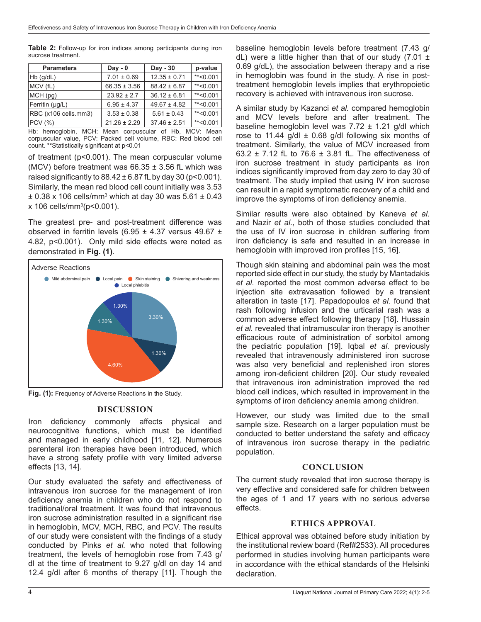**Table 2:** Follow-up for iron indices among participants during iron sucrose treatment.

| <b>Parameters</b>    | $Day - 0$        | Day - 30         | p-value     |
|----------------------|------------------|------------------|-------------|
| $Hb$ (g/dL)          | $7.01 \pm 0.69$  | $12.35 \pm 0.71$ | $*$ < 0.001 |
| MCV (fL)             | $66.35 \pm 3.56$ | $88.42 \pm 6.87$ | $*$ < 0.001 |
| MCH (pg)             | $23.92 \pm 2.7$  | $36.12 \pm 6.81$ | $*$ < 0.001 |
| Ferritin $(\mu g/L)$ | $6.95 \pm 4.37$  | $49.67 \pm 4.82$ | $*$ < 0.001 |
| RBC (x106 cells.mm3) | $3.53 \pm 0.38$  | $5.61 \pm 0.43$  | $*$ < 0.001 |
| PCV(%)               | $21.26 \pm 2.29$ | $37.46 \pm 2.51$ | $*$ < 0.001 |

Hb: hemoglobin, MCH: Mean corpuscular of Hb, MCV: Mean corpuscular value, PCV: Packed cell volume, RBC: Red blood cell count. \*\*Statistically significant at p<0.01

of treatment (p<0.001). The mean corpuscular volume (MCV) before treatment was  $66.35 \pm 3.56$  fL which was raised significantly to  $88.42 \pm 6.87$  fL by day 30 (p<0.001). Similarly, the mean red blood cell count initially was 3.53 ± 0.38 x 106 cells/mm3 which at day 30 was 5.61 ± 0.43 x 106 cells/mm3 (p<0.001).

The greatest pre- and post-treatment difference was observed in ferritin levels (6.95  $\pm$  4.37 versus 49.67  $\pm$ 4.82, p<0.001). Only mild side effects were noted as demonstrated in **Fig. (1)**.



**Fig. (1):** Frequency of Adverse Reactions in the Study.

## **DISCUSSION**

Iron deficiency commonly affects physical and neurocognitive functions, which must be identified and managed in early childhood [11, 12]. Numerous parenteral iron therapies have been introduced, which have a strong safety profile with very limited adverse effects [13, 14].

Our study evaluated the safety and effectiveness of intravenous iron sucrose for the management of iron deficiency anemia in children who do not respond to traditional/oral treatment. It was found that intravenous iron sucrose administration resulted in a significant rise in hemoglobin, MCV, MCH, RBC, and PCV. The results of our study were consistent with the findings of a study conducted by Pinks *et al.* who noted that following treatment, the levels of hemoglobin rose from 7.43 g/ dl at the time of treatment to 9.27 g/dl on day 14 and 12.4 g/dl after 6 months of therapy [11]. Though the

baseline hemoglobin levels before treatment (7.43 g/ dL) were a little higher than that of our study  $(7.01 \pm$ 0.69 g/dL), the association between therapy and a rise in hemoglobin was found in the study. A rise in posttreatment hemoglobin levels implies that erythropoietic recovery is achieved with intravenous iron sucrose.

A similar study by Kazanci *et al.* compared hemoglobin and MCV levels before and after treatment. The baseline hemoglobin level was  $7.72 \pm 1.21$  g/dl which rose to 11.44 g/dl  $\pm$  0.68 g/dl following six months of treatment. Similarly, the value of MCV increased from 63.2  $\pm$  7.12 fL to 76.6  $\pm$  3.81 fL. The effectiveness of iron sucrose treatment in study participants as iron indices significantly improved from day zero to day 30 of treatment. The study implied that using IV iron sucrose can result in a rapid symptomatic recovery of a child and improve the symptoms of iron deficiency anemia.

Similar results were also obtained by Kaneva *et al.* and Nazir *et al.*, both of those studies concluded that the use of IV iron sucrose in children suffering from iron deficiency is safe and resulted in an increase in hemoglobin with improved iron profiles [15, 16].

Though skin staining and abdominal pain was the most reported side effect in our study, the study by Mantadakis *et al.* reported the most common adverse effect to be injection site extravasation followed by a transient alteration in taste [17]. Papadopoulos *et al.* found that rash following infusion and the urticarial rash was a common adverse effect following therapy [18]. Hussain *et al.* revealed that intramuscular iron therapy is another efficacious route of administration of sorbitol among the pediatric population [19]. Iqbal *et al.* previously revealed that intravenously administered iron sucrose was also very beneficial and replenished iron stores among iron-deficient children [20]. Our study revealed that intravenous iron administration improved the red blood cell indices, which resulted in improvement in the symptoms of iron deficiency anemia among children.

However, our study was limited due to the small sample size. Research on a larger population must be conducted to better understand the safety and efficacy of intravenous iron sucrose therapy in the pediatric population.

## **CONCLUSION**

The current study revealed that iron sucrose therapy is very effective and considered safe for children between the ages of 1 and 17 years with no serious adverse effects.

## **ETHICS APPROVAL**

Ethical approval was obtained before study initiation by the institutional review board (Ref#2533). All procedures performed in studies involving human participants were in accordance with the ethical standards of the Helsinki declaration.